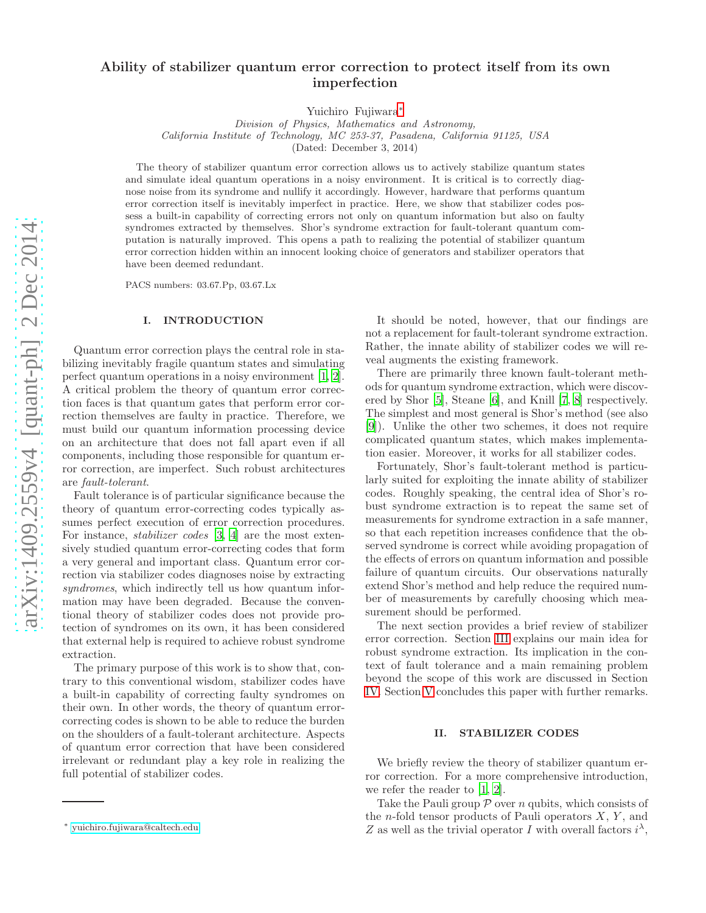# Ability of stabilizer quantum error correction to protect itself from its own imperfection

Yuichiro Fujiwara[∗](#page-0-0)

*Division of Physics, Mathematics and Astronomy, California Institute of Technology, MC 253-37, Pasadena, California 91125, USA* (Dated: December 3, 2014)

The theory of stabilizer quantum error correction allows us to actively stabilize quantum states and simulate ideal quantum operations in a noisy environment. It is critical is to correctly diagnose noise from its syndrome and nullify it accordingly. However, hardware that performs quantum error correction itself is inevitably imperfect in practice. Here, we show that stabilizer codes possess a built-in capability of correcting errors not only on quantum information but also on faulty syndromes extracted by themselves. Shor's syndrome extraction for fault-tolerant quantum computation is naturally improved. This opens a path to realizing the potential of stabilizer quantum error correction hidden within an innocent looking choice of generators and stabilizer operators that have been deemed redundant.

PACS numbers: 03.67.Pp, 03.67.Lx

# I. INTRODUCTION

Quantum error correction plays the central role in stabilizing inevitably fragile quantum states and simulating perfect quantum operations in a noisy environment [\[1](#page-8-0), [2\]](#page-8-1). A critical problem the theory of quantum error correction faces is that quantum gates that perform error correction themselves are faulty in practice. Therefore, we must build our quantum information processing device on an architecture that does not fall apart even if all components, including those responsible for quantum error correction, are imperfect. Such robust architectures are fault-tolerant.

Fault tolerance is of particular significance because the theory of quantum error-correcting codes typically assumes perfect execution of error correction procedures. For instance, *stabilizer codes* [\[3](#page-8-2), [4\]](#page-8-3) are the most extensively studied quantum error-correcting codes that form a very general and important class. Quantum error correction via stabilizer codes diagnoses noise by extracting syndromes, which indirectly tell us how quantum information may have been degraded. Because the conventional theory of stabilizer codes does not provide protection of syndromes on its own, it has been considered that external help is required to achieve robust syndrome extraction.

The primary purpose of this work is to show that, contrary to this conventional wisdom, stabilizer codes have a built-in capability of correcting faulty syndromes on their own. In other words, the theory of quantum errorcorrecting codes is shown to be able to reduce the burden on the shoulders of a fault-tolerant architecture. Aspects of quantum error correction that have been considered irrelevant or redundant play a key role in realizing the full potential of stabilizer codes.

It should be noted, however, that our findings are not a replacement for fault-tolerant syndrome extraction. Rather, the innate ability of stabilizer codes we will reveal augments the existing framework.

There are primarily three known fault-tolerant methods for quantum syndrome extraction, which were discovered by Shor [\[5](#page-8-4)], Steane [\[6\]](#page-8-5), and Knill [\[7](#page-8-6), [8](#page-8-7)] respectively. The simplest and most general is Shor's method (see also [\[9\]](#page-8-8)). Unlike the other two schemes, it does not require complicated quantum states, which makes implementation easier. Moreover, it works for all stabilizer codes.

Fortunately, Shor's fault-tolerant method is particularly suited for exploiting the innate ability of stabilizer codes. Roughly speaking, the central idea of Shor's robust syndrome extraction is to repeat the same set of measurements for syndrome extraction in a safe manner, so that each repetition increases confidence that the observed syndrome is correct while avoiding propagation of the effects of errors on quantum information and possible failure of quantum circuits. Our observations naturally extend Shor's method and help reduce the required number of measurements by carefully choosing which measurement should be performed.

The next section provides a brief review of stabilizer error correction. Section [III](#page-1-0) explains our main idea for robust syndrome extraction. Its implication in the context of fault tolerance and a main remaining problem beyond the scope of this work are discussed in Section [IV.](#page-6-0) Section [V](#page-7-0) concludes this paper with further remarks.

#### <span id="page-0-1"></span>II. STABILIZER CODES

We briefly review the theory of stabilizer quantum error correction. For a more comprehensive introduction, we refer the reader to [\[1](#page-8-0), [2](#page-8-1)].

Take the Pauli group  $P$  over n qubits, which consists of the *n*-fold tensor products of Pauli operators  $X, Y$ , and Z as well as the trivial operator I with overall factors  $i^{\lambda}$ ,

<span id="page-0-0"></span><sup>∗</sup> [yuichiro.fujiwara@caltech.edu](mailto:yuichiro.fujiwara@caltech.edu)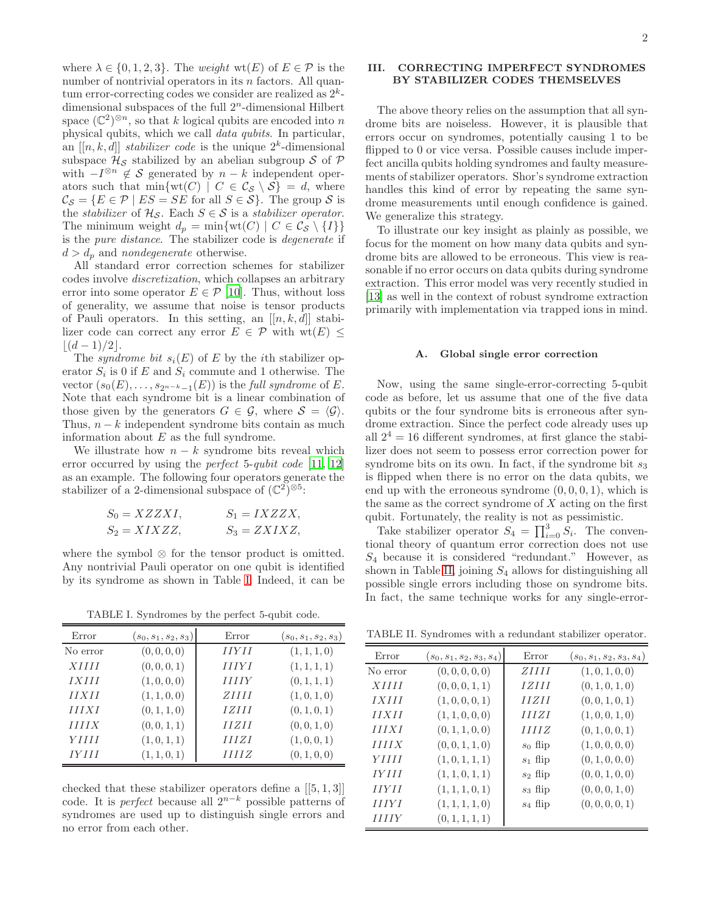where  $\lambda \in \{0, 1, 2, 3\}$ . The *weight* wt(E) of  $E \in \mathcal{P}$  is the number of nontrivial operators in its  $n$  factors. All quantum error-correcting codes we consider are realized as  $2^k$ dimensional subspaces of the full  $2<sup>n</sup>$ -dimensional Hilbert space  $(\mathbb{C}^2)^{\otimes n}$ , so that k logical qubits are encoded into n physical qubits, which we call data qubits. In particular, an  $[[n, k, d]]$  stabilizer code is the unique  $2<sup>k</sup>$ -dimensional subspace  $\mathcal{H}_{\mathcal{S}}$  stabilized by an abelian subgroup S of P with  $-I^{\otimes n} \notin \mathcal{S}$  generated by  $n-k$  independent operators such that  $\min\{\text{wt}(C) \mid C \in \mathcal{C}_{\mathcal{S}} \setminus \mathcal{S}\} = d$ , where  $\mathcal{C}_{\mathcal{S}} = \{ E \in \mathcal{P} \mid ES = SE \text{ for all } S \in \mathcal{S} \}.$  The group  $\mathcal{S}$  is the *stabilizer* of  $\mathcal{H}_{\mathcal{S}}$ . Each  $S \in \mathcal{S}$  is a *stabilizer operator*. The minimum weight  $d_p = \min\{\text{wt}(C) \mid C \in \mathcal{C}_{\mathcal{S}} \setminus \{I\}\}\$ is the pure distance. The stabilizer code is degenerate if  $d > d_p$  and nondegenerate otherwise.

All standard error correction schemes for stabilizer codes involve discretization, which collapses an arbitrary error into some operator  $E \in \mathcal{P}$  [\[10](#page-8-9)]. Thus, without loss of generality, we assume that noise is tensor products of Pauli operators. In this setting, an  $[[n, k, d]]$  stabilizer code can correct any error  $E \in \mathcal{P}$  with wt $(E)$  <  $|(d-1)/2|$ .

The syndrome bit  $s_i(E)$  of E by the ith stabilizer operator  $S_i$  is 0 if E and  $S_i$  commute and 1 otherwise. The vector  $(s_0(E), \ldots, s_{2^{n-k}-1}(E))$  is the *full syndrome* of E. Note that each syndrome bit is a linear combination of those given by the generators  $G \in \mathcal{G}$ , where  $\mathcal{S} = \langle \mathcal{G} \rangle$ . Thus,  $n - k$  independent syndrome bits contain as much information about  $E$  as the full syndrome.

We illustrate how  $n - k$  syndrome bits reveal which error occurred by using the *perfect* 5-*qubit code* [\[11,](#page-8-10) [12](#page-8-11)] as an example. The following four operators generate the stabilizer of a 2-dimensional subspace of  $(\mathbb{C}^2)^{\otimes 5}$ :

$$
S_0 = XZZXI, \t S_1 = IXZZX, S_2 = XIXZZ, \t S_3 = ZXIXZ,
$$

where the symbol  $\otimes$  for the tensor product is omitted. Any nontrivial Pauli operator on one qubit is identified by its syndrome as shown in Table [I.](#page-1-1) Indeed, it can be

<span id="page-1-1"></span>TABLE I. Syndromes by the perfect 5-qubit code.

| Error        | $(s_0,s_1,s_2,s_3)$ | Error        | $(s_0, s_1, s_2, s_3)$ |
|--------------|---------------------|--------------|------------------------|
| No error     | (0, 0, 0, 0)        | <b>HYH</b>   | (1, 1, 1, 0)           |
| <i>XIIII</i> | (0, 0, 0, 1)        | IIIYI        | (1, 1, 1, 1)           |
| <i>IXIII</i> | (1, 0, 0, 0)        | <b>HIIY</b>  | (0, 1, 1, 1)           |
| IIXII        | (1, 1, 0, 0)        | ZHH          | (1,0,1,0)              |
| IIIXI        | (0, 1, 1, 0)        | <i>IZIII</i> | (0, 1, 0, 1)           |
| IIIIX        | (0, 0, 1, 1)        | IIZII        | (0, 0, 1, 0)           |
| YHH          | (1, 0, 1, 1)        | IIIZI        | (1, 0, 0, 1)           |
| IYIII        | (1, 1, 0, 1)        | IIIIZ        | (0, 1, 0, 0)           |

checked that these stabilizer operators define a [[5, 1, 3]] code. It is *perfect* because all  $2^{n-k}$  possible patterns of syndromes are used up to distinguish single errors and no error from each other.

# <span id="page-1-0"></span>III. CORRECTING IMPERFECT SYNDROMES BY STABILIZER CODES THEMSELVES

The above theory relies on the assumption that all syndrome bits are noiseless. However, it is plausible that errors occur on syndromes, potentially causing 1 to be flipped to 0 or vice versa. Possible causes include imperfect ancilla qubits holding syndromes and faulty measurements of stabilizer operators. Shor's syndrome extraction handles this kind of error by repeating the same syndrome measurements until enough confidence is gained. We generalize this strategy.

To illustrate our key insight as plainly as possible, we focus for the moment on how many data qubits and syndrome bits are allowed to be erroneous. This view is reasonable if no error occurs on data qubits during syndrome extraction. This error model was very recently studied in [\[13\]](#page-8-12) as well in the context of robust syndrome extraction primarily with implementation via trapped ions in mind.

### <span id="page-1-3"></span>A. Global single error correction

Now, using the same single-error-correcting 5-qubit code as before, let us assume that one of the five data qubits or the four syndrome bits is erroneous after syndrome extraction. Since the perfect code already uses up all  $2^4 = 16$  different syndromes, at first glance the stabilizer does not seem to possess error correction power for syndrome bits on its own. In fact, if the syndrome bit  $s_3$ is flipped when there is no error on the data qubits, we end up with the erroneous syndrome  $(0, 0, 0, 1)$ , which is the same as the correct syndrome of  $X$  acting on the first qubit. Fortunately, the reality is not as pessimistic.

Take stabilizer operator  $S_4 = \prod_{i=0}^3 S_i$ . The conventional theory of quantum error correction does not use  $S_4$  because it is considered "redundant." However, as shown in Table [II,](#page-1-2) joining  $S_4$  allows for distinguishing all possible single errors including those on syndrome bits. In fact, the same technique works for any single-error-

TABLE II. Syndromes with a redundant stabilizer operator.

<span id="page-1-2"></span>

| Error       | $(s_0, s_1, s_2, s_3, s_4)$ | Error        | $(s_0, s_1, s_2, s_3, s_4)$ |
|-------------|-----------------------------|--------------|-----------------------------|
| No error    | (0, 0, 0, 0, 0)             | <i>ZHH</i>   | (1, 0, 1, 0, 0)             |
| XIIII       | (0, 0, 0, 1, 1)             | <i>IZIII</i> | (0, 1, 0, 1, 0)             |
| IXIII       | (1, 0, 0, 0, 1)             | IIZII        | (0, 0, 1, 0, 1)             |
| II XII      | (1, 1, 0, 0, 0)             | IIIZI        | (1, 0, 0, 1, 0)             |
| IIIXI       | (0, 1, 1, 0, 0)             | <i>HHZ</i>   | (0, 1, 0, 0, 1)             |
| IIIIX       | (0, 0, 1, 1, 0)             | $s_0$ flip   | (1,0,0,0,0)                 |
| YHH         | (1,0,1,1,1)                 | $s_1$ flip   | (0, 1, 0, 0, 0)             |
| IVIII       | (1, 1, 0, 1, 1)             | $s_2$ flip   | (0, 0, 1, 0, 0)             |
| <b>HYH</b>  | (1, 1, 1, 0, 1)             | $s_3$ flip   | (0, 0, 0, 1, 0)             |
| <b>HIYI</b> | (1, 1, 1, 1, 0)             | $s_4$ flip   | (0,0,0,0,1)                 |
| <b>HIIY</b> | (0, 1, 1, 1, 1)             |              |                             |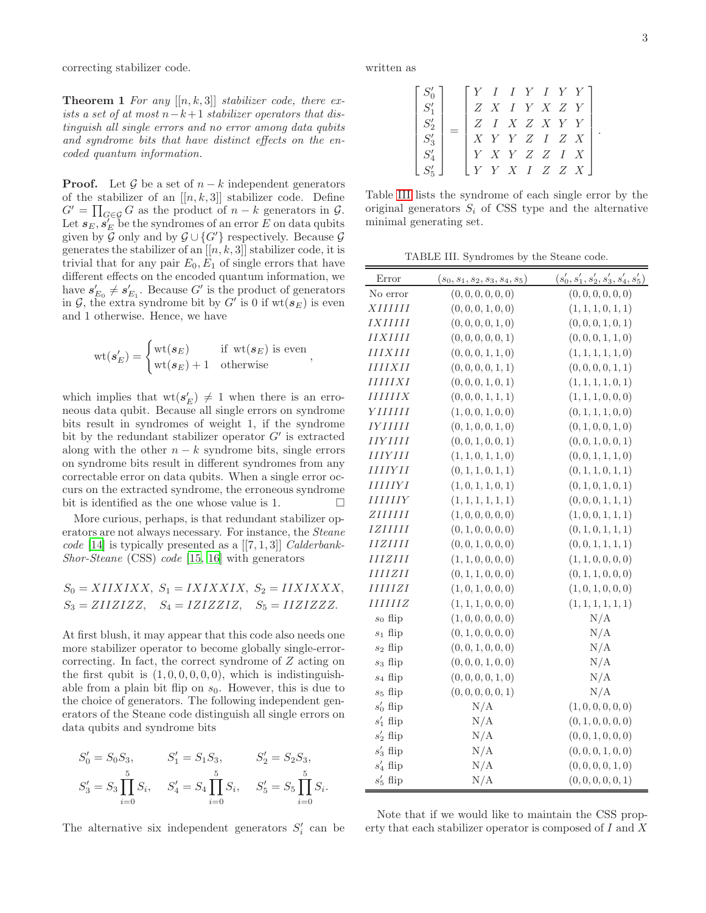<span id="page-2-1"></span>correcting stabilizer code.

**Theorem 1** For any  $[[n, k, 3]]$  stabilizer code, there exists a set of at most  $n-k+1$  stabilizer operators that distinguish all single errors and no error among data qubits and syndrome bits that have distinct effects on the encoded quantum information.

**Proof.** Let G be a set of  $n - k$  independent generators of the stabilizer of an  $[[n, k, 3]]$  stabilizer code. Define  $G' = \prod_{G \in \mathcal{G}} G$  as the product of  $n - k$  generators in  $\mathcal{G}$ . Let  $s_E, s'_E$  be the syndromes of an error E on data qubits given by  $\mathcal G$  only and by  $\mathcal G \cup \{G'\}$  respectively. Because  $\mathcal G$ generates the stabilizer of an  $[[n, k, 3]]$  stabilizer code, it is trivial that for any pair  $E_0, E_1$  of single errors that have different effects on the encoded quantum information, we have  $s'_{E_0} \neq s'_{E_1}$ . Because G' is the product of generators in  $G$ , the extra syndrome bit by  $G'$  is 0 if  $wt(\mathbf{s}_E)$  is even and 1 otherwise. Hence, we have

$$
\text{wt}(\boldsymbol{s}'_E) = \begin{cases} \text{wt}(\boldsymbol{s}_E) & \text{if } \text{wt}(\boldsymbol{s}_E) \text{ is even} \\ \text{wt}(\boldsymbol{s}_E) + 1 & \text{otherwise} \end{cases}
$$

which implies that  $\text{wt}(s'_{E}) \neq 1$  when there is an erroneous data qubit. Because all single errors on syndrome bits result in syndromes of weight 1, if the syndrome bit by the redundant stabilizer operator  $G'$  is extracted along with the other  $n - k$  syndrome bits, single errors on syndrome bits result in different syndromes from any correctable error on data qubits. When a single error occurs on the extracted syndrome, the erroneous syndrome bit is identified as the one whose value is 1.  $\Box$ 

More curious, perhaps, is that redundant stabilizer operators are not always necessary. For instance, the Steane code [\[14\]](#page-8-13) is typically presented as a  $[[7,1,3]]$  Calderbank-Shor-Steane (CSS) code [\[15](#page-8-14), [16\]](#page-8-15) with generators

$$
S_0 = XIIXIXX, S_1 = IXIXXIX, S_2 = IIXIXXX,
$$
  
\n
$$
S_3 = ZIIZIZZ, S_4 = IZIZZIZ, S_5 = IIZIZZZ.
$$

At first blush, it may appear that this code also needs one more stabilizer operator to become globally single-errorcorrecting. In fact, the correct syndrome of Z acting on the first qubit is  $(1, 0, 0, 0, 0, 0)$ , which is indistinguishable from a plain bit flip on  $s_0$ . However, this is due to the choice of generators. The following independent generators of the Steane code distinguish all single errors on data qubits and syndrome bits

$$
S'_0 = S_0 S_3, \t S'_1 = S_1 S_3, \t S'_2 = S_2 S_3,
$$
  

$$
S'_3 = S_3 \prod_{i=0}^5 S_i, \t S'_4 = S_4 \prod_{i=0}^5 S_i, \t S'_5 = S_5 \prod_{i=0}^5 S_i.
$$

The alternative six independent generators  $S_i'$  can be

written as

$$
\begin{bmatrix} S_0' \\ S_1' \\ S_2' \\ S_3' \\ S_4' \\ S_5' \\ \end{bmatrix} = \begin{bmatrix} Y & I & I & Y & I & Y & Y \\ Z & X & I & Y & X & Z & Y \\ Z & I & X & Z & X & Y & Y \\ X & Y & Y & Z & I & Z & X \\ Y & X & Y & Z & Z & I & X \\ Y & Y & X & I & Z & Z & X \end{bmatrix}
$$

Table [III](#page-2-0) lists the syndrome of each single error by the original generators  $S_i$  of CSS type and the alternative minimal generating set.

<span id="page-2-0"></span>TABLE III. Syndromes by the Steane code.

| Error                                  | $(s_0, s_1, s_2, s_3, s_4, s_5)$ | $(s'_0, s'_1, s'_2, s'_3, s'_4, s'_5)$ |
|----------------------------------------|----------------------------------|----------------------------------------|
| No error                               | (0, 0, 0, 0, 0, 0)               | (0, 0, 0, 0, 0, 0)                     |
| XIIIIIII                               | (0, 0, 0, 1, 0, 0)               | (1, 1, 1, 0, 1, 1)                     |
| <b>IXIIIII</b>                         | (0, 0, 0, 0, 1, 0)               | (0, 0, 0, 1, 0, 1)                     |
| IIXIIII                                | (0, 0, 0, 0, 0, 1)               | (0, 0, 0, 1, 1, 0)                     |
| IIIXIII                                | (0, 0, 0, 1, 1, 0)               | (1, 1, 1, 1, 1, 0)                     |
| IIIIXII                                | (0, 0, 0, 0, 1, 1)               | (0, 0, 0, 0, 1, 1)                     |
| IIIIIXI                                | (0, 0, 0, 1, 0, 1)               | (1, 1, 1, 1, 0, 1)                     |
| IIIIIIX                                | (0, 0, 0, 1, 1, 1)               | (1, 1, 1, 0, 0, 0)                     |
| YIIIIII                                | (1, 0, 0, 1, 0, 0)               | (0, 1, 1, 1, 0, 0)                     |
| IYIIIII                                | (0, 1, 0, 0, 1, 0)               | (0, 1, 0, 0, 1, 0)                     |
| IIYIIII                                | (0, 0, 1, 0, 0, 1)               | (0, 0, 1, 0, 0, 1)                     |
| IIIYIII                                | (1, 1, 0, 1, 1, 0)               | (0, 0, 1, 1, 1, 0)                     |
| <i>IIIIYII</i>                         | (0, 1, 1, 0, 1, 1)               | (0, 1, 1, 0, 1, 1)                     |
| <i><b>IIIIIYI</b></i>                  | (1, 0, 1, 1, 0, 1)               | (0, 1, 0, 1, 0, 1)                     |
| <i>IIIIIIY</i>                         | (1, 1, 1, 1, 1, 1)               | (0, 0, 0, 1, 1, 1)                     |
| ZIIIIIII                               | (1, 0, 0, 0, 0, 0)               | (1,0,0,1,1,1)                          |
| <i>IZIIIII</i>                         | (0, 1, 0, 0, 0, 0)               | (0, 1, 0, 1, 1, 1)                     |
| $\begin{array}{c} IIZIIII \end{array}$ | (0, 0, 1, 0, 0, 0)               | (0, 0, 1, 1, 1, 1)                     |
| IIIZIII                                | (1, 1, 0, 0, 0, 0)               | (1, 1, 0, 0, 0, 0)                     |
| IIIIZII                                | (0, 1, 1, 0, 0, 0)               | (0, 1, 1, 0, 0, 0)                     |
| IIIIIZI                                | (1, 0, 1, 0, 0, 0)               | (1, 0, 1, 0, 0, 0)                     |
| IIIIIIZ                                | (1, 1, 1, 0, 0, 0)               | (1, 1, 1, 1, 1, 1)                     |
| $s_0$ flip                             | (1, 0, 0, 0, 0, 0)               | N/A                                    |
| $s_1$ flip                             | (0, 1, 0, 0, 0, 0)               | N/A                                    |
| $s_2$ flip                             | (0, 0, 1, 0, 0, 0)               | N/A                                    |
| $s_3$ flip                             | (0, 0, 0, 1, 0, 0)               | N/A                                    |
| $s_4$ flip                             | (0, 0, 0, 0, 1, 0)               | N/A                                    |
| $s_5$ flip                             | (0, 0, 0, 0, 0, 1)               | N/A                                    |
| $s'_0$ flip                            | N/A                              | (1, 0, 0, 0, 0, 0)                     |
| $s'_1$ flip                            | N/A                              | (0, 1, 0, 0, 0, 0)                     |
| $s'_2$ flip                            | N/A                              | (0, 0, 1, 0, 0, 0)                     |
| $s'_3$ flip                            | N/A                              | (0, 0, 0, 1, 0, 0)                     |
| $s'_4$ flip                            | N/A                              | (0, 0, 0, 0, 1, 0)                     |
| $s'_5$ flip                            | N/A                              | (0, 0, 0, 0, 0, 1)                     |

Note that if we would like to maintain the CSS property that each stabilizer operator is composed of I and X

.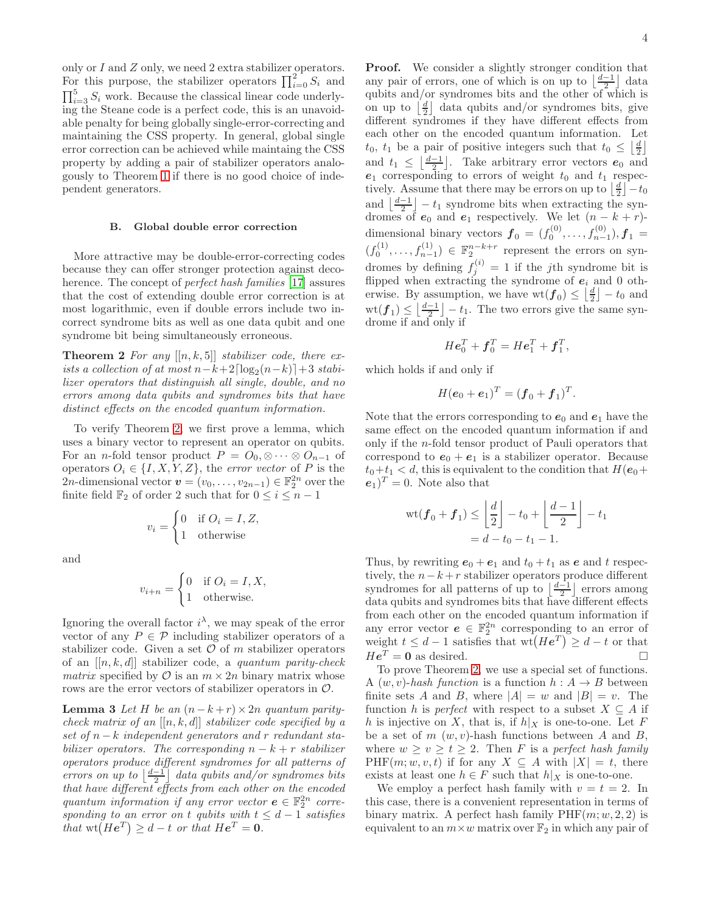only or I and Z only, we need 2 extra stabilizer operators. For this purpose, the stabilizer operators  $\prod_{i=0}^{2} S_i$  and  $\prod_{i=3}^{5} S_i$  work. Because the classical linear code underlying the Steane code is a perfect code, this is an unavoidable penalty for being globally single-error-correcting and maintaining the CSS property. In general, global single error correction can be achieved while maintaing the CSS property by adding a pair of stabilizer operators analogously to Theorem [1](#page-2-1) if there is no good choice of independent generators.

#### <span id="page-3-2"></span>B. Global double error correction

More attractive may be double-error-correcting codes because they can offer stronger protection against decoherence. The concept of *perfect hash families* [\[17](#page-8-16)] assures that the cost of extending double error correction is at most logarithmic, even if double errors include two incorrect syndrome bits as well as one data qubit and one syndrome bit being simultaneously erroneous.

**Theorem 2** For any  $[[n, k, 5]]$  stabilizer code, there exists a collection of at most  $n-k+2\lceil \log_2(n-k) \rceil + 3$  stabilizer operators that distinguish all single, double, and no errors among data qubits and syndromes bits that have distinct effects on the encoded quantum information.

To verify Theorem [2,](#page-3-0) we first prove a lemma, which uses a binary vector to represent an operator on qubits. For an *n*-fold tensor product  $P = O_0, \otimes \cdots \otimes O_{n-1}$  of operators  $O_i \in \{I, X, Y, Z\}$ , the *error vector* of P is the 2n-dimensional vector  $\mathbf{v} = (v_0, \dots, v_{2n-1}) \in \mathbb{F}_2^{2n}$  over the finite field  $\mathbb{F}_2$  of order 2 such that for  $0 \leq i \leq n-1$ 

$$
v_i = \begin{cases} 0 & \text{if } O_i = I, Z, \\ 1 & \text{otherwise} \end{cases}
$$

and

$$
v_{i+n} = \begin{cases} 0 & \text{if } O_i = I, X, \\ 1 & \text{otherwise.} \end{cases}
$$

Ignoring the overall factor  $i^{\lambda}$ , we may speak of the error vector of any  $P \in \mathcal{P}$  including stabilizer operators of a stabilizer code. Given a set  $\mathcal O$  of m stabilizer operators of an  $[[n, k, d]]$  stabilizer code, a *quantum parity-check* matrix specified by  $\mathcal O$  is an  $m \times 2n$  binary matrix whose rows are the error vectors of stabilizer operators in  $\mathcal{O}$ .

**Lemma 3** Let H be an  $(n-k+r) \times 2n$  quantum paritycheck matrix of an  $[[n, k, d]]$  stabilizer code specified by a set of  $n - k$  independent generators and r redundant stabilizer operators. The corresponding  $n - k + r$  stabilizer operators produce different syndromes for all patterns of errors on up to  $\lfloor \frac{d-1}{2} \rfloor$  data qubits and/or syndromes bits that have different effects from each other on the encoded quantum information if any error vector  $e \in \mathbb{F}_2^{2n}$  corresponding to an error on t qubits with  $t \leq d-1$  satisfies that  $\text{wt}(He^T) \geq d - t$  or that  $He^T = 0$ .

Proof. We consider a slightly stronger condition that any pair of errors, one of which is on up to  $\lfloor \frac{d-1}{2} \rfloor$  data qubits and/or syndromes bits and the other of which is on up to  $\left[\frac{d}{2}\right]$  data qubits and/or syndromes bits, give different syndromes if they have different effects from each other on the encoded quantum information. Let  $t_0, t_1$  be a pair of positive integers such that  $t_0 \leq \left\lfloor \frac{d}{2} \right\rfloor$ and  $t_1 \leq \left\lfloor \frac{d-1}{2} \right\rfloor$ . Take arbitrary error vectors  $e_0$  and  $e_1$  corresponding to errors of weight  $t_0$  and  $t_1$  respectively. Assume that there may be errors on up to  $\left\lfloor \frac{d}{2} \right\rfloor - t_0$ and  $\lfloor \frac{d-1}{2} \rfloor - t_1$  syndrome bits when extracting the syndromes of  $e_0$  and  $e_1$  respectively. We let  $(n - k + r)$ dimensional binary vectors  $f_0 = (f_0^{(0)},...,f_{n-1}^{(0)}), f_1 =$  $(f_0^{(1)},...,f_{n-1}^{(1)}) \in \mathbb{F}_2^{n-k+r}$  represent the errors on syndromes by defining  $f_j^{(i)} = 1$  if the jth syndrome bit is flipped when extracting the syndrome of  $e_i$  and 0 otherwise. By assumption, we have  $\text{wt}(\boldsymbol{f}_0) \leq \left\lfloor \frac{d}{2} \right\rfloor - t_0$  and  $\text{wt}(\boldsymbol{f}_1) \leq \left\lfloor \frac{d-1}{2} \right\rfloor - t_1$ . The two errors give the same syndrome if and only if

$$
He_0^T + \boldsymbol{f}_0^T = He_1^T + \boldsymbol{f}_1^T,
$$

<span id="page-3-0"></span>which holds if and only if

$$
H(e_0 + e_1)^T = (\bm{f}_0 + \bm{f}_1)^T.
$$

Note that the errors corresponding to  $e_0$  and  $e_1$  have the same effect on the encoded quantum information if and only if the n-fold tensor product of Pauli operators that correspond to  $e_0 + e_1$  is a stabilizer operator. Because  $t_0+t_1 < d$ , this is equivalent to the condition that  $H(e_0 +$  $(e_1)^T = 0$ . Note also that

$$
\operatorname{wt}(\boldsymbol{f}_0 + \boldsymbol{f}_1) \le \left\lfloor \frac{d}{2} \right\rfloor - t_0 + \left\lfloor \frac{d-1}{2} \right\rfloor - t_1
$$

$$
= d - t_0 - t_1 - 1.
$$

Thus, by rewriting  $e_0 + e_1$  and  $t_0 + t_1$  as e and t respectively, the  $n-k+r$  stabilizer operators produce different syndromes for all patterns of up to  $\lfloor \frac{d-1}{2} \rfloor$  errors among data qubits and syndromes bits that have different effects from each other on the encoded quantum information if any error vector  $e \in \mathbb{F}_2^{2n}$  corresponding to an error of weight  $t \leq d-1$  satisfies that  $\text{wt}(He^T) \geq d-t$  or that  $He^T = 0$  as desired.

<span id="page-3-1"></span>To prove Theorem [2,](#page-3-0) we use a special set of functions. A  $(w, v)$ -hash function is a function  $h : A \rightarrow B$  between finite sets A and B, where  $|A| = w$  and  $|B| = v$ . The function h is perfect with respect to a subset  $X \subseteq A$  if h is injective on X, that is, if  $h|_X$  is one-to-one. Let F be a set of  $m \ (w, v)$ -hash functions between A and B, where  $w \ge v \ge t \ge 2$ . Then F is a perfect hash family  $PHF(m; w, v, t)$  if for any  $X \subseteq A$  with  $|X| = t$ , there exists at least one  $h \in F$  such that  $h|_X$  is one-to-one.

We employ a perfect hash family with  $v = t = 2$ . In this case, there is a convenient representation in terms of binary matrix. A perfect hash family  $PHF(m; w, 2, 2)$  is equivalent to an  $m\times w$  matrix over  $\mathbb{F}_2$  in which any pair of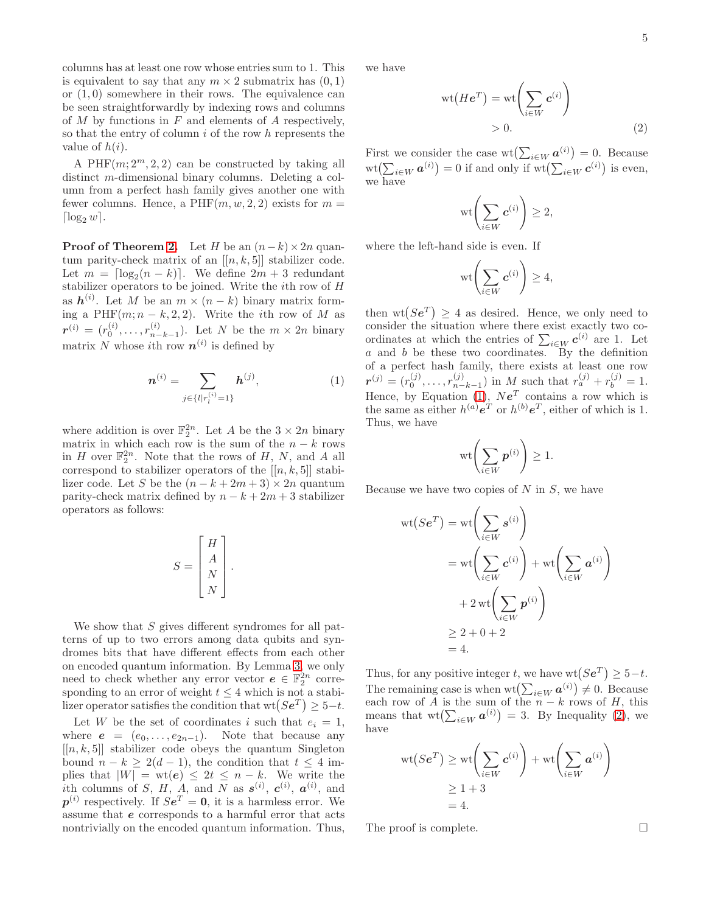columns has at least one row whose entries sum to 1. This is equivalent to say that any  $m \times 2$  submatrix has  $(0, 1)$ or  $(1, 0)$  somewhere in their rows. The equivalence can be seen straightforwardly by indexing rows and columns of  $M$  by functions in  $F$  and elements of  $A$  respectively, so that the entry of column  $i$  of the row  $h$  represents the value of  $h(i)$ .

A  $PHF(m; 2<sup>m</sup>, 2, 2)$  can be constructed by taking all distinct m-dimensional binary columns. Deleting a column from a perfect hash family gives another one with fewer columns. Hence, a PHF $(m, w, 2, 2)$  exists for  $m =$  $\lceil \log_2 w \rceil$ .

**Proof of Theorem [2.](#page-3-0)** Let H be an  $(n-k) \times 2n$  quantum parity-check matrix of an  $[[n, k, 5]]$  stabilizer code. Let  $m = \lceil \log_2(n - k) \rceil$ . We define  $2m + 3$  redundant stabilizer operators to be joined. Write the ith row of H as  $h^{(i)}$ . Let M be an  $m \times (n-k)$  binary matrix forming a PHF $(m; n - k, 2, 2)$ . Write the *i*th row of M as  $\bm{r}^{(i)}\,=\,(r_0^{(i)},\ldots,r_{n-}^{(i)}$  $\binom{n}{n-k-1}$ . Let N be the  $m \times 2n$  binary matrix N whose *i*th row  $n^{(i)}$  is defined by

$$
\boldsymbol{n}^{(i)} = \sum_{j \in \{l \mid r_i^{(i)} = 1\}} \boldsymbol{h}^{(j)},\tag{1}
$$

where addition is over  $\mathbb{F}_2^{2n}$ . Let A be the  $3 \times 2n$  binary matrix in which each row is the sum of the  $n - k$  rows in H over  $\mathbb{F}_2^{2n}$ . Note that the rows of H, N, and A all correspond to stabilizer operators of the  $[[n, k, 5]]$  stabilizer code. Let S be the  $(n - k + 2m + 3) \times 2n$  quantum parity-check matrix defined by  $n - k + 2m + 3$  stabilizer operators as follows:

$$
S = \begin{bmatrix} H \\ A \\ N \\ N \end{bmatrix}.
$$

We show that  $S$  gives different syndromes for all patterns of up to two errors among data qubits and syndromes bits that have different effects from each other on encoded quantum information. By Lemma [3,](#page-3-1) we only need to check whether any error vector  $e \in \mathbb{F}_2^{2n}$  corresponding to an error of weight  $t \leq 4$  which is not a stabilizer operator satisfies the condition that  $\mathrm{wt}(Se^T) \geq 5-t$ .

Let W be the set of coordinates i such that  $e_i = 1$ , where  $e = (e_0, \ldots, e_{2n-1})$ . Note that because any  $[[n, k, 5]]$  stabilizer code obeys the quantum Singleton bound  $n - k \geq 2(d - 1)$ , the condition that  $t \leq 4$  implies that  $|W| = \text{wt}(e) \leq 2t \leq n - k$ . We write the ith columns of S, H, A, and N as  $s^{(i)}$ ,  $c^{(i)}$ ,  $a^{(i)}$ , and  $p^{(i)}$  respectively. If  $Se^T = 0$ , it is a harmless error. We assume that e corresponds to a harmful error that acts nontrivially on the encoded quantum information. Thus,

we have

$$
\operatorname{wt}(He^T) = \operatorname{wt}\left(\sum_{i \in W} c^{(i)}\right) > 0.
$$
 (2)

First we consider the case  $\mathrm{wt}(\sum_{i\in W} a^{(i)}) = 0$ . Because  $\mathrm{wt}(\sum_{i\in W} \boldsymbol{a}^{(i)}) = 0$  if and only if  $\mathrm{wt}(\sum_{i\in W} \boldsymbol{c}^{(i)})$  is even, we have

<span id="page-4-1"></span>
$$
\text{wt}\Biggl(\sum_{i\in W} \boldsymbol{c}^{(i)}\Biggr)\geq 2,
$$

where the left-hand side is even. If

$$
\text{wt}\biggl(\sum_{i\in W}c^{(i)}\biggr)\geq 4,
$$

<span id="page-4-0"></span>then  $wt(Se^T) \geq 4$  as desired. Hence, we only need to consider the situation where there exist exactly two coordinates at which the entries of  $\sum_{i \in W} c^{(i)}$  are 1. Let  $a$  and  $b$  be these two coordinates. By the definition of a perfect hash family, there exists at least one row  $\bm{r}^{(j)} = (r^{(j)}_0, \dots, r^{(j)}_{n-1})$  $\binom{(j)}{n-k-1}$  in M such that  $r_a^{(j)} + r_b^{(j)} = 1$ . Hence, by Equation [\(1\)](#page-4-0),  $Ne<sup>T</sup>$  contains a row which is the same as either  $h^{(a)}e^T$  or  $h^{(b)}e^T$ , either of which is 1. Thus, we have

$$
\mathrm{wt}\biggl(\sum_{i\in W}\boldsymbol{p}^{(i)}\biggr)\geq 1.
$$

Because we have two copies of  $N$  in  $S$ , we have

$$
wt(SeT) = wt\left(\sum_{i \in W} s^{(i)}\right)
$$
  
= wt\left(\sum\_{i \in W} c^{(i)}\right) + wt\left(\sum\_{i \in W} a^{(i)}\right)  
+ 2 wt\left(\sum\_{i \in W} p^{(i)}\right)  
\ge 2 + 0 + 2  
= 4.

Thus, for any positive integer t, we have  $\text{wt}(Se^T) \geq 5-t$ . The remaining case is when  $\mathrm{wt}(\sum_{i\in W} a^{(i)}) \neq 0$ . Because each row of A is the sum of the  $n - k$  rows of H, this means that  $\operatorname{wt}(\sum_{i\in W} a^{(i)}) = 3$ . By Inequality [\(2\)](#page-4-1), we have

$$
wt(Se^{T}) \ge wt\left(\sum_{i\in W} c^{(i)}\right) + wt\left(\sum_{i\in W} a^{(i)}\right)
$$
  

$$
\ge 1 + 3
$$
  

$$
= 4.
$$

The proof is complete.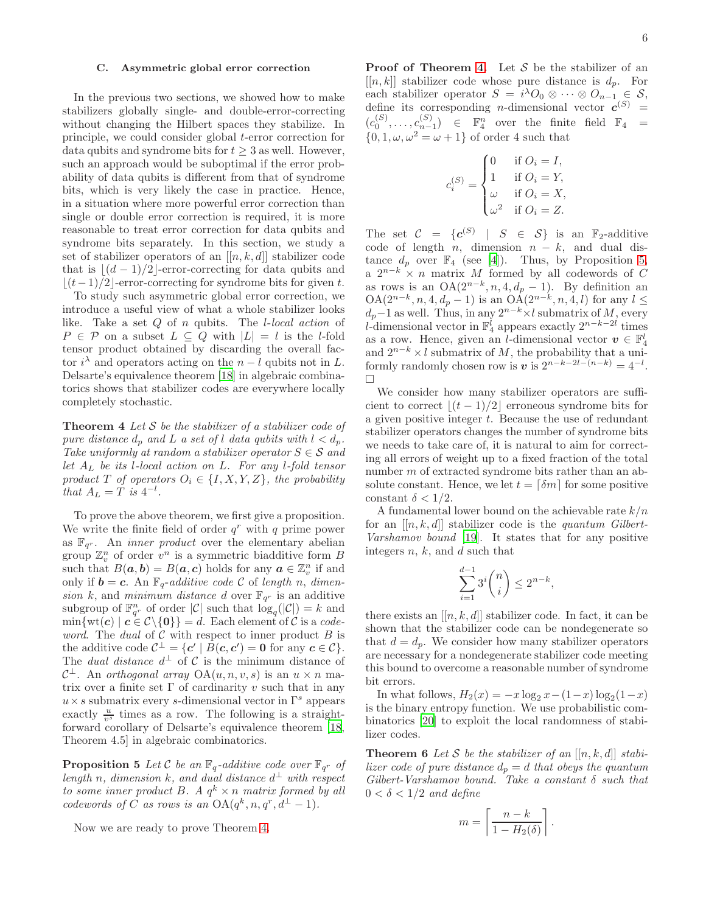# C. Asymmetric global error correction

In the previous two sections, we showed how to make stabilizers globally single- and double-error-correcting without changing the Hilbert spaces they stabilize. In principle, we could consider global t-error correction for data qubits and syndrome bits for  $t \geq 3$  as well. However, such an approach would be suboptimal if the error probability of data qubits is different from that of syndrome bits, which is very likely the case in practice. Hence, in a situation where more powerful error correction than single or double error correction is required, it is more reasonable to treat error correction for data qubits and syndrome bits separately. In this section, we study a set of stabilizer operators of an  $[[n, k, d]]$  stabilizer code that is  $\lfloor (d-1)/2 \rfloor$ -error-correcting for data qubits and  $|(t-1)/2|$ -error-correcting for syndrome bits for given t.

To study such asymmetric global error correction, we introduce a useful view of what a whole stabilizer looks like. Take a set Q of n qubits. The l-local action of  $P \in \mathcal{P}$  on a subset  $L \subseteq Q$  with  $|L| = l$  is the l-fold tensor product obtained by discarding the overall factor  $i^{\lambda}$  and operators acting on the  $n - l$  qubits not in L. Delsarte's equivalence theorem [\[18\]](#page-8-17) in algebraic combinatorics shows that stabilizer codes are everywhere locally completely stochastic.

<span id="page-5-0"></span>**Theorem 4** Let  $S$  be the stabilizer of a stabilizer code of pure distance  $d_p$  and L a set of l data qubits with  $l < d_p$ . Take uniformly at random a stabilizer operator  $S \in \mathcal{S}$  and let  $A_L$  be its l-local action on L. For any l-fold tensor product T of operators  $O_i \in \{I, X, Y, Z\}$ , the probability that  $A_L = T$  is  $4^{-l}$ .

To prove the above theorem, we first give a proposition. We write the finite field of order  $q^r$  with q prime power as  $\mathbb{F}_{q^r}$ . An *inner product* over the elementary abelian group  $\mathbb{Z}_v^n$  of order  $v^n$  is a symmetric biadditive form B such that  $B(\boldsymbol{a}, \boldsymbol{b}) = B(\boldsymbol{a}, \boldsymbol{c})$  holds for any  $\boldsymbol{a} \in \mathbb{Z}_{v}^{n}$  if and only if  $\mathbf{b} = \mathbf{c}$ . An  $\mathbb{F}_q$ -additive code C of length n, dimension k, and minimum distance d over  $\mathbb{F}_{q^r}$  is an additive subgroup of  $\mathbb{F}_{q^r}^n$  of order  $|\mathcal{C}|$  such that  $\log_q(|\mathcal{C}|) = k$  and  $\min\{\text{wt}(\boldsymbol{c}) \mid \boldsymbol{c} \in \mathcal{C} \setminus \{\boldsymbol{0}\}\} = d.$  Each element of  $\mathcal C$  is a code*word.* The *dual* of  $C$  with respect to inner product  $B$  is the additive code  $\mathcal{C}^{\perp} = \{ \mathbf{c}' \mid B(\mathbf{c}, \mathbf{c}') = \mathbf{0} \text{ for any } \mathbf{c} \in \mathcal{C} \}.$ The *dual distance*  $d^{\perp}$  of C is the minimum distance of  $\mathcal{C}^{\perp}$ . An *orthogonal array* OA $(u, n, v, s)$  is an  $u \times n$  matrix over a finite set  $\Gamma$  of cardinarity v such that in any  $u\times s$  submatrix every  $s\text{-dimensional vector in }\Gamma^s$  appears exactly  $\frac{u}{v^s}$  times as a row. The following is a straightforward corollary of Delsarte's equivalence theorem [\[18](#page-8-17), Theorem 4.5] in algebraic combinatorics.

**Proposition 5** Let C be an  $\mathbb{F}_q$ -additive code over  $\mathbb{F}_{q^r}$  of length n, dimension k, and dual distance  $d^{\perp}$  with respect to some inner product B. A  $q^k \times n$  matrix formed by all codewords of C as rows is an  $OA(q^k, n, q^r, d^{\perp} - 1)$ .

Now we are ready to prove Theorem [4.](#page-5-0)

**Proof of Theorem [4.](#page-5-0)** Let  $S$  be the stabilizer of an  $[[n, k]]$  stabilizer code whose pure distance is  $d_p$ . For each stabilizer operator  $S = i^{\lambda}O_0 \otimes \cdots \otimes O_{n-1} \in S$ , define its corresponding *n*-dimensional vector  $c^{(S)}$  =  $(c_0^{(S)}, \ldots, c_{n-1}^{(S)}) \in \mathbb{F}_4^n$  over the finite field  $\mathbb{F}_4 =$  $\{0, 1, \omega, \omega^2 = \omega + 1\}$  of order 4 such that

$$
c_i^{(S)} = \begin{cases} 0 & \text{if } O_i = I, \\ 1 & \text{if } O_i = Y, \\ \omega & \text{if } O_i = X, \\ \omega^2 & \text{if } O_i = Z. \end{cases}
$$

The set  $C = \{c^{(S)} \mid S \in S\}$  is an  $\mathbb{F}_2$ -additive code of length  $n$ , dimension  $n - k$ , and dual distance  $d_p$  over  $\mathbb{F}_4$  (see [\[4\]](#page-8-3)). Thus, by Proposition [5,](#page-5-1) a  $2^{n-k} \times n$  matrix M formed by all codewords of C as rows is an  $OA(2^{n-k}, n, 4, d_p - 1)$ . By definition an  $OA(2^{n-k}, n, 4, d_p - 1)$  is an  $OA(2^{n-k}, n, 4, l)$  for any  $l \leq$  $d_p-1$  as well. Thus, in any  $2^{n-k} \times l$  submatrix of M, every l-dimensional vector in  $\mathbb{F}_4^l$  appears exactly  $2^{n-k-2l}$  times as a row. Hence, given an *l*-dimensional vector  $\mathbf{v} \in \mathbb{F}_4^l$ and  $2^{n-k} \times l$  submatrix of M, the probability that a uniformly randomly chosen row is  $v$  is  $2^{n-k-2l-(n-k)} = 4^{-l}$ .  $\Box$ 

We consider how many stabilizer operators are sufficient to correct  $|(t-1)/2|$  erroneous syndrome bits for a given positive integer  $t$ . Because the use of redundant stabilizer operators changes the number of syndrome bits we needs to take care of, it is natural to aim for correcting all errors of weight up to a fixed fraction of the total number m of extracted syndrome bits rather than an absolute constant. Hence, we let  $t = \lceil \delta m \rceil$  for some positive constant  $\delta < 1/2$ .

A fundamental lower bound on the achievable rate  $k/n$ for an  $[[n, k, d]]$  stabilizer code is the *quantum Gilbert*-Varshamov bound [\[19\]](#page-8-18). It states that for any positive integers  $n, k$ , and  $d$  such that

$$
\sum_{i=1}^{d-1} 3^i \binom{n}{i} \le 2^{n-k},
$$

there exists an  $[[n, k, d]]$  stabilizer code. In fact, it can be shown that the stabilizer code can be nondegenerate so that  $d = d_p$ . We consider how many stabilizer operators are necessary for a nondegenerate stabilizer code meeting this bound to overcome a reasonable number of syndrome bit errors.

In what follows,  $H_2(x) = -x \log_2 x - (1-x) \log_2 (1-x)$ is the binary entropy function. We use probabilistic combinatorics [\[20](#page-8-19)] to exploit the local randomness of stabilizer codes.

<span id="page-5-1"></span>**Theorem 6** Let S be the stabilizer of an  $[[n, k, d]]$  stabilizer code of pure distance  $d_p = d$  that obeys the quantum  $Gilbert-Varshamov$  bound. Take a constant  $\delta$  such that  $0 < \delta < 1/2$  and define

$$
m = \left\lceil \frac{n - k}{1 - H_2(\delta)} \right\rceil.
$$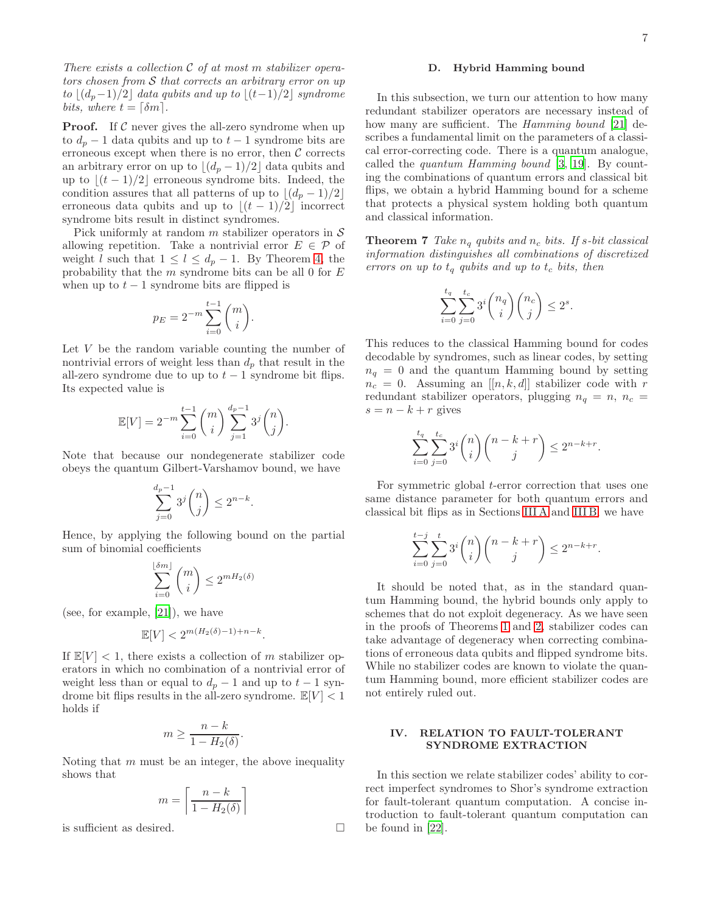7

There exists a collection  $C$  of at most m stabilizer operators chosen from  $\mathcal S$  that corrects an arbitrary error on up to  $|(d_p-1)/2|$  data qubits and up to  $|(t-1)/2|$  syndrome bits, where  $t = \lceil \delta m \rceil$ .

**Proof.** If  $\mathcal C$  never gives the all-zero syndrome when up to  $d_p - 1$  data qubits and up to  $t - 1$  syndrome bits are erroneous except when there is no error, then  $C$  corrects an arbitrary error on up to  $\lfloor (d_p-1)/2 \rfloor$  data qubits and up to  $\lfloor (t-1)/2 \rfloor$  erroneous syndrome bits. Indeed, the condition assures that all patterns of up to  $|(d_p - 1)/2|$ erroneous data qubits and up to  $|(t-1)/2|$  incorrect syndrome bits result in distinct syndromes.

Pick uniformly at random  $m$  stabilizer operators in  $\mathcal S$ allowing repetition. Take a nontrivial error  $E \in \mathcal{P}$  of weight l such that  $1 \leq l \leq d_p - 1$ . By Theorem [4,](#page-5-0) the probability that the  $m$  syndrome bits can be all 0 for  $E$ when up to  $t - 1$  syndrome bits are flipped is

$$
p_E = 2^{-m} \sum_{i=0}^{t-1} \binom{m}{i}.
$$

Let  $V$  be the random variable counting the number of nontrivial errors of weight less than  $d_p$  that result in the all-zero syndrome due to up to  $t - 1$  syndrome bit flips. Its expected value is

$$
\mathbb{E}[V] = 2^{-m} \sum_{i=0}^{t-1} {m \choose i} \sum_{j=1}^{d_p - 1} 3^j {n \choose j}.
$$

Note that because our nondegenerate stabilizer code obeys the quantum Gilbert-Varshamov bound, we have

$$
\sum_{j=0}^{d_p-1} 3^j \binom{n}{j} \le 2^{n-k}
$$

.

Hence, by applying the following bound on the partial sum of binomial coefficients

$$
\sum_{i=0}^{\lfloor \delta m \rfloor} \binom{m}{i} \le 2^{mH_2(\delta)}
$$

(see, for example, [\[21\]](#page-8-20)), we have

$$
\mathbb{E}[V] < 2^{m(H_2(\delta)-1)+n-k}.
$$

If  $\mathbb{E}[V] < 1$ , there exists a collection of m stabilizer operators in which no combination of a nontrivial error of weight less than or equal to  $d_p - 1$  and up to  $t - 1$  syndrome bit flips results in the all-zero syndrome.  $\mathbb{E}[V] < 1$ holds if

$$
m \ge \frac{n-k}{1 - H_2(\delta)}.
$$

Noting that  $m$  must be an integer, the above inequality shows that

$$
m = \left\lceil \frac{n - k}{1 - H_2(\delta)} \right\rceil
$$

is sufficient as desired.

# D. Hybrid Hamming bound

In this subsection, we turn our attention to how many redundant stabilizer operators are necessary instead of how many are sufficient. The *Hamming bound* [\[21](#page-8-20)] describes a fundamental limit on the parameters of a classical error-correcting code. There is a quantum analogue, called the quantum Hamming bound [\[3,](#page-8-2) [19\]](#page-8-18). By counting the combinations of quantum errors and classical bit flips, we obtain a hybrid Hamming bound for a scheme that protects a physical system holding both quantum and classical information.

**Theorem 7** Take  $n_q$  qubits and  $n_c$  bits. If s-bit classical information distinguishes all combinations of discretized errors on up to  $t_q$  qubits and up to  $t_c$  bits, then

$$
\sum_{i=0}^{t_q} \sum_{j=0}^{t_c} 3^i {n_q \choose i} {n_c \choose j} \le 2^s.
$$

This reduces to the classical Hamming bound for codes decodable by syndromes, such as linear codes, by setting  $n_q = 0$  and the quantum Hamming bound by setting  $n_c = 0$ . Assuming an  $[[n, k, d]]$  stabilizer code with r redundant stabilizer operators, plugging  $n_q = n$ ,  $n_c =$  $s = n - k + r$  gives

$$
\sum_{i=0}^{t_q} \sum_{j=0}^{t_c} 3^i \binom{n}{i} \binom{n-k+r}{j} \le 2^{n-k+r}.
$$

For symmetric global t-error correction that uses one same distance parameter for both quantum errors and classical bit flips as in Sections [III A](#page-1-3) and [III B,](#page-3-2) we have

$$
\sum_{i=0}^{t-j} \sum_{j=0}^t 3^i \binom{n}{i} \binom{n-k+r}{j} \le 2^{n-k+r}.
$$

It should be noted that, as in the standard quantum Hamming bound, the hybrid bounds only apply to schemes that do not exploit degeneracy. As we have seen in the proofs of Theorems [1](#page-2-1) and [2,](#page-3-0) stabilizer codes can take advantage of degeneracy when correcting combinations of erroneous data qubits and flipped syndrome bits. While no stabilizer codes are known to violate the quantum Hamming bound, more efficient stabilizer codes are not entirely ruled out.

# <span id="page-6-0"></span>IV. RELATION TO FAULT-TOLERANT SYNDROME EXTRACTION

In this section we relate stabilizer codes' ability to correct imperfect syndromes to Shor's syndrome extraction for fault-tolerant quantum computation. A concise introduction to fault-tolerant quantum computation can be found in [\[22\]](#page-8-21).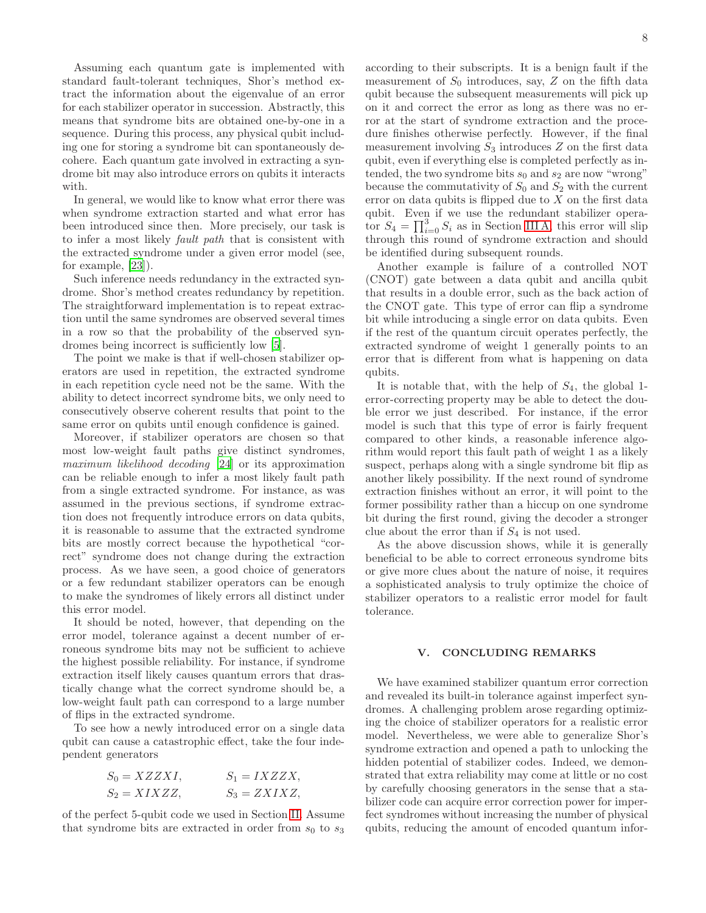Assuming each quantum gate is implemented with standard fault-tolerant techniques, Shor's method extract the information about the eigenvalue of an error for each stabilizer operator in succession. Abstractly, this means that syndrome bits are obtained one-by-one in a sequence. During this process, any physical qubit including one for storing a syndrome bit can spontaneously decohere. Each quantum gate involved in extracting a syndrome bit may also introduce errors on qubits it interacts with.

In general, we would like to know what error there was when syndrome extraction started and what error has been introduced since then. More precisely, our task is to infer a most likely fault path that is consistent with the extracted syndrome under a given error model (see, for example, [\[23\]](#page-8-22)).

Such inference needs redundancy in the extracted syndrome. Shor's method creates redundancy by repetition. The straightforward implementation is to repeat extraction until the same syndromes are observed several times in a row so that the probability of the observed syndromes being incorrect is sufficiently low [\[5\]](#page-8-4).

The point we make is that if well-chosen stabilizer operators are used in repetition, the extracted syndrome in each repetition cycle need not be the same. With the ability to detect incorrect syndrome bits, we only need to consecutively observe coherent results that point to the same error on qubits until enough confidence is gained.

Moreover, if stabilizer operators are chosen so that most low-weight fault paths give distinct syndromes, maximum likelihood decoding [\[24](#page-8-23)] or its approximation can be reliable enough to infer a most likely fault path from a single extracted syndrome. For instance, as was assumed in the previous sections, if syndrome extraction does not frequently introduce errors on data qubits, it is reasonable to assume that the extracted syndrome bits are mostly correct because the hypothetical "correct" syndrome does not change during the extraction process. As we have seen, a good choice of generators or a few redundant stabilizer operators can be enough to make the syndromes of likely errors all distinct under this error model.

It should be noted, however, that depending on the error model, tolerance against a decent number of erroneous syndrome bits may not be sufficient to achieve the highest possible reliability. For instance, if syndrome extraction itself likely causes quantum errors that drastically change what the correct syndrome should be, a low-weight fault path can correspond to a large number of flips in the extracted syndrome.

To see how a newly introduced error on a single data qubit can cause a catastrophic effect, take the four independent generators

$$
S_0 = XZZXI, \t S_1 = IXZZX, S_2 = XIXZZ, \t S_3 = ZXIXZ,
$$

of the perfect 5-qubit code we used in Section [II.](#page-0-1) Assume that syndrome bits are extracted in order from  $s_0$  to  $s_3$  according to their subscripts. It is a benign fault if the measurement of  $S_0$  introduces, say, Z on the fifth data qubit because the subsequent measurements will pick up on it and correct the error as long as there was no error at the start of syndrome extraction and the procedure finishes otherwise perfectly. However, if the final measurement involving  $S_3$  introduces Z on the first data qubit, even if everything else is completed perfectly as intended, the two syndrome bits  $s_0$  and  $s_2$  are now "wrong" because the commutativity of  $S_0$  and  $S_2$  with the current error on data qubits is flipped due to  $X$  on the first data qubit. Even if we use the redundant stabilizer operator  $S_4 = \prod_{i=0}^3 S_i$  as in Section [III A,](#page-1-3) this error will slip through this round of syndrome extraction and should be identified during subsequent rounds.

Another example is failure of a controlled NOT (CNOT) gate between a data qubit and ancilla qubit that results in a double error, such as the back action of the CNOT gate. This type of error can flip a syndrome bit while introducing a single error on data qubits. Even if the rest of the quantum circuit operates perfectly, the extracted syndrome of weight 1 generally points to an error that is different from what is happening on data qubits.

It is notable that, with the help of  $S_4$ , the global 1error-correcting property may be able to detect the double error we just described. For instance, if the error model is such that this type of error is fairly frequent compared to other kinds, a reasonable inference algorithm would report this fault path of weight 1 as a likely suspect, perhaps along with a single syndrome bit flip as another likely possibility. If the next round of syndrome extraction finishes without an error, it will point to the former possibility rather than a hiccup on one syndrome bit during the first round, giving the decoder a stronger clue about the error than if  $S_4$  is not used.

As the above discussion shows, while it is generally beneficial to be able to correct erroneous syndrome bits or give more clues about the nature of noise, it requires a sophisticated analysis to truly optimize the choice of stabilizer operators to a realistic error model for fault tolerance.

# <span id="page-7-0"></span>V. CONCLUDING REMARKS

We have examined stabilizer quantum error correction and revealed its built-in tolerance against imperfect syndromes. A challenging problem arose regarding optimizing the choice of stabilizer operators for a realistic error model. Nevertheless, we were able to generalize Shor's syndrome extraction and opened a path to unlocking the hidden potential of stabilizer codes. Indeed, we demonstrated that extra reliability may come at little or no cost by carefully choosing generators in the sense that a stabilizer code can acquire error correction power for imperfect syndromes without increasing the number of physical qubits, reducing the amount of encoded quantum infor